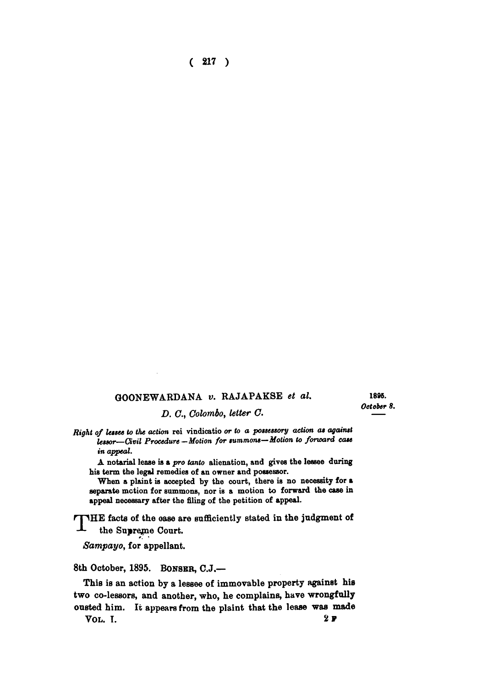**( 217 )** 

## **GOONEWARDANA** *v.* **RAJAPAKSE** *et al.*

1896. *October 8.* 

*D. C, Colombo, letter C.* 

*Right of lessee to the action* rei vindicatio *or to a possessory action as against lessor—Civil Procedure—Motion for summons—Motion to forward case in appeal.* 

A notarial lease is a *pro tanto* alienation, and gives the lessee daring his term the legal remedies of an owner and possessor.

When a plaint is accepted by the court, there is no necessity for a separate motion for summons, nor is a motion to forward the case in appeal necessary after the filing of the petition of appeal.

**RPHE facts of the ease are sufficiently stated in the judgment of**  the Supreme Court.

*Sampayo,* **for appellant.** 

**8th October, 1895. BONSBR , C.J.—** 

**This is an action by a lessee of immovable property against his two co-lessors, and another, who, he complains, have wrongfully ousted him. It appears from the plaint that the lease was made VOL . I. 2<sup>F</sup>**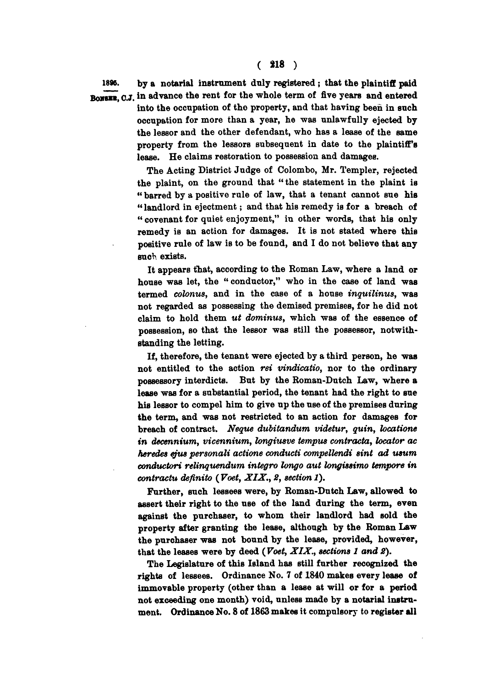**1896. by a notarial instrument duly registered; that the plaintiff paid BONGER.** C.J. in advance the rent for the whole term of five years and entered **into the occupation of the property, and that having been in such occupation for more than a year, he was unlawfully ejected by the lessor and the other defendant, who has a lease of the same property from the lessors subsequent in date to the plaintiff's lease. He claims restoration to possession and damages.** 

> **The Acting District Judge of Colombo, Mr. Templer, rejected the plaint, on the ground that "the statement in the plaint is " barred by a positive rule of law, that a tenant cannot sue his " landlord in ejectment; and that his remedy is for a breach of " covenant for quiet enjoyment," in other words, that his only remedy is an action for damages. It is not stated where this positive rule of law is to be found, and I do not believe that any**  *Bach* **exists.**

> **It appears that, according to the Roman Law, where a land or house was let, the "conductor," who in the case of land was termed** *colonus,* **and in the case of a house** *inquilinus,* **was not regarded as possessing the demised premises, for he did not claim to hold them** *ut dominus,* **which was of the essence of possession, so that the lessor was still the possessor, notwithstanding the letting.**

> **If, therefore, the tenant were ejected by a third person, he was not entitled to the action** *ret vindicatio,* **nor to the ordinary possessory interdicts. But by the Roman-Dutch Law, where a lease was for a substantial period, the tenant had the right to sue his lessor to compel him to give up the use of the premises during the term, and was not restricted to an action for damages for breach of contract.** *Neque dubitandum videtur, quin, locations in decennium, vicennium, longiusve tempus contracta, locator ac heredes ejus personali actione conducti compellendi sint ad usum conductori relinquendum integro longo aut longissimo tempore in contractu deftnito (Voet, XIX., 2, section 1).*

> **Further, such lessees were, by Roman-Dutch Law, allowed to assert their right to the use of the land during the term, even against the purchaser, to whom their landlord had sold the property after granting the lease, although by the Roman Law the purchaser was not bound by the lease, provided, however, that the leases were by deed** *(Voet, XIX., sections 1 and 2).*

> **The Legislature of this Island has still further recognized the rights of lessees. Ordinance No. 7 of 1840 makes every lease of immovable property (other than a lease at will or for a period not exceeding one month) void, unless made by a notarial instrument. Ordinance No. 8 of 1863 makes it compulsory to register all**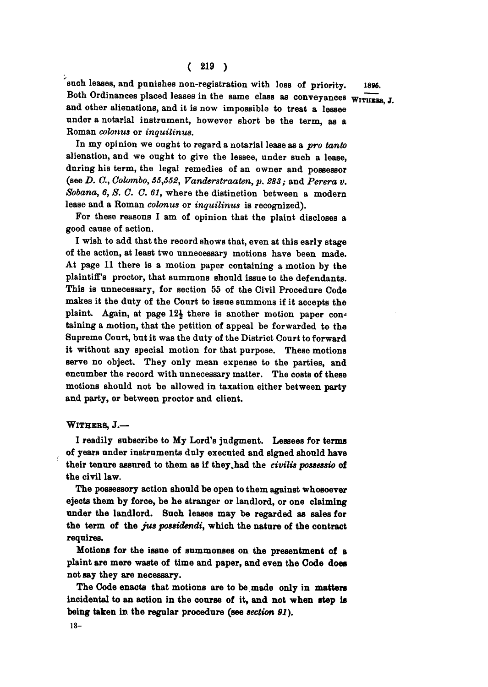**each leases, and punishes non-registration with loss** of **priority.** 1896. Both Ordinances placed leases in the same class as conveyances WITHERS, J. **and other alienations, and it is now impossible to treat a lessee under a notarial instrument, however short be the term, as a Roman** *colonus* **or** *inquilinus.* 

**In my opinion we ought to regard a notarial lease as a** *pro tanto*  **alienation, and we ought to give the lessee, under such a lease, during his term, the legal remedies of an owner and possessor (see** *D. C, Colombo, 55,552, Vanderstraaten, p. 283;* **and** *Perera v. Sobana, 6, S. C. C. 61,* **where the distinction between a modern lease and a Roman** *colonus* **or** *inquilinus* **is recognized).** 

**For these reasons I am of opinion that the plaint discloses a good cause of action.** 

**I wish to add that the record shows that, even at this early stage of the action, at least two unnecessary motions have been made. At page 11 there is a motion paper containing a motion by the plaintiff's proctor, that summons should issue to the defendants. This is unnecessary, for section 55 of the Civil Procedure Code makes it the duty of the Court to issue summons if it accepts the**  plaint. Again, at page 12<sup>1</sup> there is another motion paper con**taining a motion, that the petition of appeal be forwarded to the Supreme Court, but it was the duty of the District Court to forward it without any special motion for that purpose. These motions serve no object. They only mean expense to the parties, and encumber the record with unnecessary matter.** The costs of these **motions should not be allowed in taxation either between party and party, or between proctor and client.** 

## **WITHERS , J. —**

**I readily subscribe to My Lord's judgment. Lessees** for **terms**  of **years under instruments duly executed and signed should have their tenure assured to them as if they .had the** *civilis possessio* of **the civil law.** 

**The possessory action should be open to them against whosoever ejects them by force, be he stranger or landlord, or one claiming under the landlord. Such leases may be regarded as sales** for **the term** of **the** *jus possidendi,* **which the nature** of **the contract requires.** 

**Motions** for **the issue** of **summonses on the presentment** of **a plaint are mere waste** of **time and paper, and even the Code does not say they are necessary.** 

**The Code enacts that motions are to be made only in matters incidental to an action in the course** of **it, and not when step is being taken in the regular procedure (see** *section 91).*